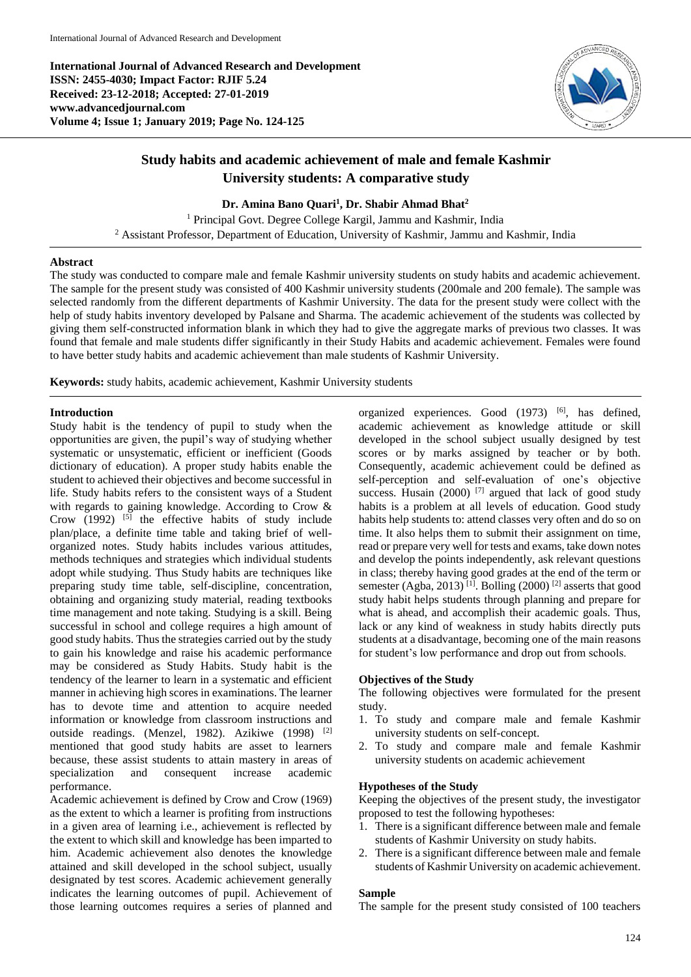**International Journal of Advanced Research and Development ISSN: 2455-4030; Impact Factor: RJIF 5.24 Received: 23-12-2018; Accepted: 27-01-2019 www.advancedjournal.com Volume 4; Issue 1; January 2019; Page No. 124-125**



# **Study habits and academic achievement of male and female Kashmir University students: A comparative study**

**Dr. Amina Bano Quari<sup>1</sup> , Dr. Shabir Ahmad Bhat<sup>2</sup>**

<sup>1</sup> Principal Govt. Degree College Kargil, Jammu and Kashmir, India <sup>2</sup> Assistant Professor, Department of Education, University of Kashmir, Jammu and Kashmir, India

## **Abstract**

The study was conducted to compare male and female Kashmir university students on study habits and academic achievement. The sample for the present study was consisted of 400 Kashmir university students (200male and 200 female). The sample was selected randomly from the different departments of Kashmir University. The data for the present study were collect with the help of study habits inventory developed by Palsane and Sharma. The academic achievement of the students was collected by giving them self-constructed information blank in which they had to give the aggregate marks of previous two classes. It was found that female and male students differ significantly in their Study Habits and academic achievement. Females were found to have better study habits and academic achievement than male students of Kashmir University.

**Keywords:** study habits, academic achievement, Kashmir University students

## **Introduction**

Study habit is the tendency of pupil to study when the opportunities are given, the pupil's way of studying whether systematic or unsystematic, efficient or inefficient (Goods dictionary of education). A proper study habits enable the student to achieved their objectives and become successful in life. Study habits refers to the consistent ways of a Student with regards to gaining knowledge. According to Crow & Crow  $(1992)$  <sup>[5]</sup> the effective habits of study include plan/place, a definite time table and taking brief of wellorganized notes. Study habits includes various attitudes, methods techniques and strategies which individual students adopt while studying. Thus Study habits are techniques like preparing study time table, self-discipline, concentration, obtaining and organizing study material, reading textbooks time management and note taking. Studying is a skill. Being successful in school and college requires a high amount of good study habits. Thus the strategies carried out by the study to gain his knowledge and raise his academic performance may be considered as Study Habits. Study habit is the tendency of the learner to learn in a systematic and efficient manner in achieving high scores in examinations. The learner has to devote time and attention to acquire needed information or knowledge from classroom instructions and outside readings. (Menzel, 1982). Azikiwe (1998) [2] mentioned that good study habits are asset to learners because, these assist students to attain mastery in areas of specialization and consequent increase academic performance.

Academic achievement is defined by Crow and Crow (1969) as the extent to which a learner is profiting from instructions in a given area of learning i.e., achievement is reflected by the extent to which skill and knowledge has been imparted to him. Academic achievement also denotes the knowledge attained and skill developed in the school subject, usually designated by test scores. Academic achievement generally indicates the learning outcomes of pupil. Achievement of those learning outcomes requires a series of planned and

organized experiences. Good  $(1973)$  [6], has defined, academic achievement as knowledge attitude or skill developed in the school subject usually designed by test scores or by marks assigned by teacher or by both. Consequently, academic achievement could be defined as self-perception and self-evaluation of one's objective success. Husain (2000)  $^{[7]}$  argued that lack of good study habits is a problem at all levels of education. Good study habits help students to: attend classes very often and do so on time. It also helps them to submit their assignment on time, read or prepare very well for tests and exams, take down notes and develop the points independently, ask relevant questions in class; thereby having good grades at the end of the term or semester (Agba, 2013)<sup>[1]</sup>. Bolling (2000)<sup>[2]</sup> asserts that good study habit helps students through planning and prepare for what is ahead, and accomplish their academic goals. Thus, lack or any kind of weakness in study habits directly puts students at a disadvantage, becoming one of the main reasons for student's low performance and drop out from schools.

# **Objectives of the Study**

The following objectives were formulated for the present study.

- 1. To study and compare male and female Kashmir university students on self-concept.
- 2. To study and compare male and female Kashmir university students on academic achievement

### **Hypotheses of the Study**

Keeping the objectives of the present study, the investigator proposed to test the following hypotheses:

- 1. There is a significant difference between male and female students of Kashmir University on study habits.
- There is a significant difference between male and female students of Kashmir University on academic achievement.

# **Sample**

The sample for the present study consisted of 100 teachers